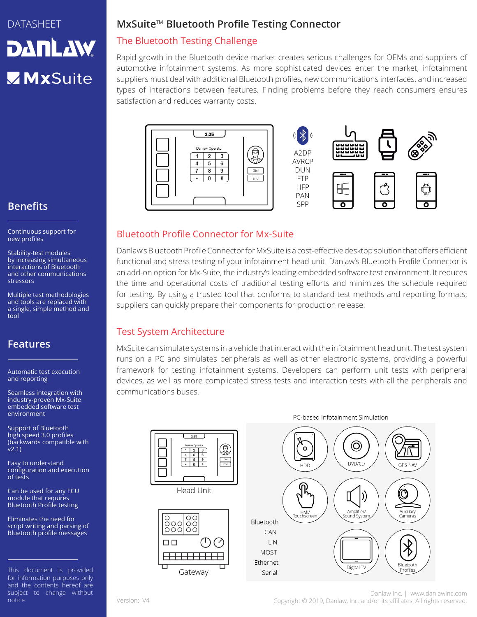# DATASHEET **DANLAW** MxSuite

# **Benefits**

Continuous support for new profiles

Stability-test modules by increasing simultaneous interactions of Bluetooth and other communications stressors

Multiple test methodologies and tools are replaced with a single, simple method and tool

## **Features**

Automatic test execution and reporting

Seamless integration with industry-proven Mx-Suite embedded software test environment

Support of Bluetooth high speed 3.0 profiles (backwards compatible with v2.1)

Easy to understand configuration and execution of tests

Can be used for any ECU module that requires Bluetooth Profile testing

Eliminates the need for script writing and parsing of Bluetooth profile messages

This document is provided for information purposes only and the contents hereof are subject to change without notice.

## **MxSuite**™ **Bluetooth Profile Testing Connector**

## The Bluetooth Testing Challenge

Rapid growth in the Bluetooth device market creates serious challenges for OEMs and suppliers of automotive infotainment systems. As more sophisticated devices enter the market, infotainment suppliers must deal with additional Bluetooth profiles, new communications interfaces, and increased types of interactions between features. Finding problems before they reach consumers ensures satisfaction and reduces warranty costs.





#### Bluetooth Profile Connector for Mx-Suite

Danlaw's Bluetooth Profile Connector for MxSuite is a cost-effective desktop solution that offers efficient functional and stress testing of your infotainment head unit. Danlaw's Bluetooth Profile Connector is an add-on option for Mx-Suite, the industry's leading embedded software test environment. It reduces the time and operational costs of traditional testing efforts and minimizes the schedule required for testing. By using a trusted tool that conforms to standard test methods and reporting formats, suppliers can quickly prepare their components for production release.

#### Test System Architecture

MxSuite can simulate systems in a vehicle that interact with the infotainment head unit. The test system runs on a PC and simulates peripherals as well as other electronic systems, providing a powerful framework for testing infotainment systems. Developers can perform unit tests with peripheral devices, as well as more complicated stress tests and interaction tests with all the peripherals and communications buses.



Danlaw Inc. | www.danlawinc.com Version: V4 Copyright © 2019, Danlaw, Inc. and/or its affiliates. All rights reserved.